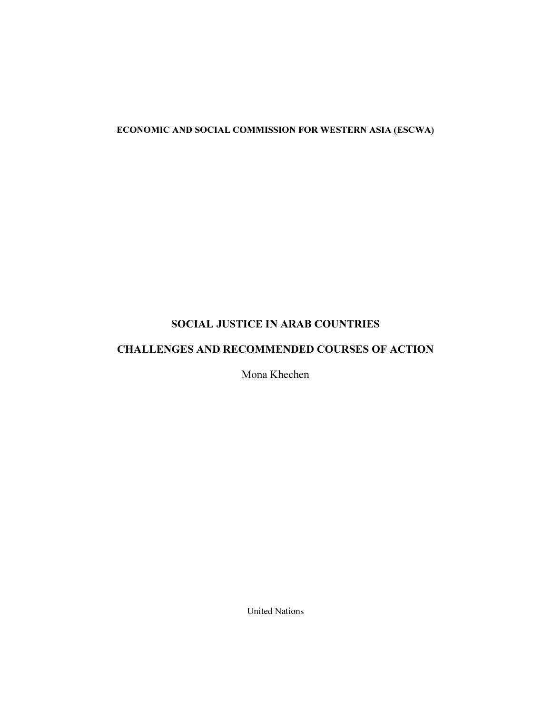# ECONOMIC AND SOCIAL COMMISSION FOR WESTERN ASIA (ESCWA)

# SOCIAL JUSTICE IN ARAB COUNTRIES

# CHALLENGES AND RECOMMENDED COURSES OF ACTION

Mona Khechen

United Nations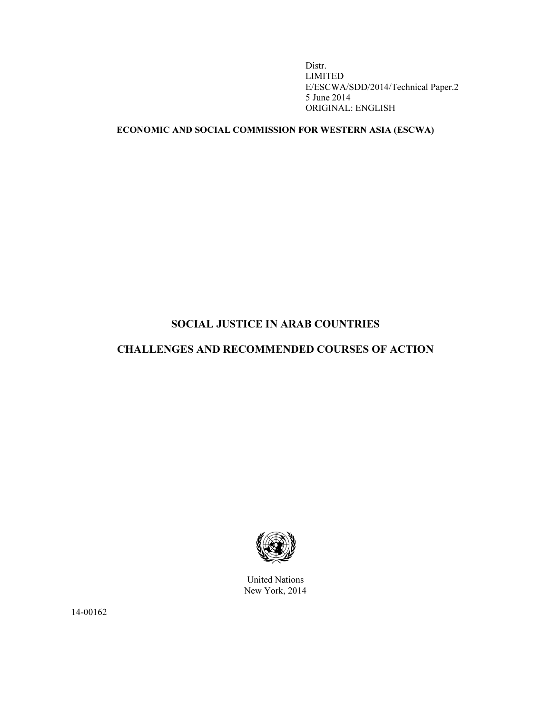Distr. LIMITED E/ESCWA/SDD/2014/Technical Paper.2 5 June 2014 ORIGINAL: ENGLISH

# ECONOMIC AND SOCIAL COMMISSION FOR WESTERN ASIA (ESCWA)

# SOCIAL JUSTICE IN ARAB COUNTRIES

# CHALLENGES AND RECOMMENDED COURSES OF ACTION



United Nations New York, 2014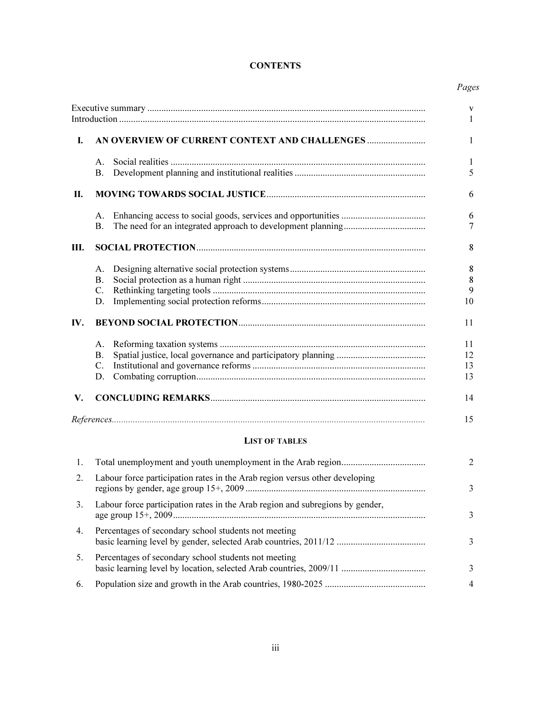# **CONTENTS**

# *Pages*

|      |             |                                               | $\mathbf{V}$   |
|------|-------------|-----------------------------------------------|----------------|
|      |             |                                               | $\mathbf{1}$   |
| L.   |             | AN OVERVIEW OF CURRENT CONTEXT AND CHALLENGES | 1              |
|      | $A_{\cdot}$ |                                               | 1              |
|      | <b>B.</b>   |                                               | 5              |
| П.   |             |                                               | 6              |
|      | Α.          |                                               | 6              |
|      | <b>B.</b>   |                                               | 7              |
| III. |             |                                               | 8              |
|      | A.          |                                               | 8              |
|      | <b>B.</b>   |                                               | 8              |
|      | C.          |                                               | 9              |
|      | D.          |                                               | 10             |
| IV.  |             |                                               | 11             |
|      | A.          |                                               | 11             |
|      | <b>B.</b>   |                                               | 12             |
|      | $C_{\cdot}$ |                                               | 13             |
|      | D.          |                                               | 13             |
| V.   |             |                                               | 14             |
|      |             |                                               | 15             |
|      |             | <b>LIST OF TABLES</b>                         |                |
| 1.   |             |                                               | $\overline{2}$ |

| 2. | Labour force participation rates in the Arab region versus other developing   |   |
|----|-------------------------------------------------------------------------------|---|
| 3. | Labour force participation rates in the Arab region and subregions by gender, |   |
| 4. | Percentages of secondary school students not meeting                          |   |
| 5. | Percentages of secondary school students not meeting                          |   |
| 6. |                                                                               | 4 |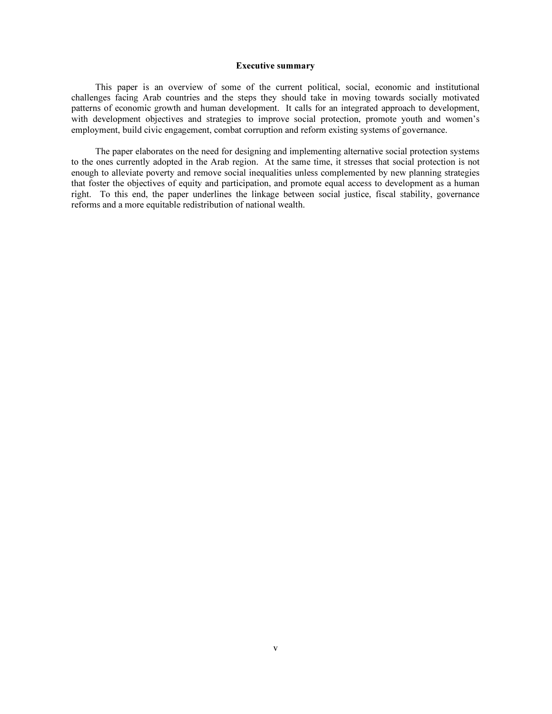#### Executive summary

 This paper is an overview of some of the current political, social, economic and institutional challenges facing Arab countries and the steps they should take in moving towards socially motivated patterns of economic growth and human development. It calls for an integrated approach to development, with development objectives and strategies to improve social protection, promote youth and women's employment, build civic engagement, combat corruption and reform existing systems of governance.

 The paper elaborates on the need for designing and implementing alternative social protection systems to the ones currently adopted in the Arab region. At the same time, it stresses that social protection is not enough to alleviate poverty and remove social inequalities unless complemented by new planning strategies that foster the objectives of equity and participation, and promote equal access to development as a human right. To this end, the paper underlines the linkage between social justice, fiscal stability, governance reforms and a more equitable redistribution of national wealth.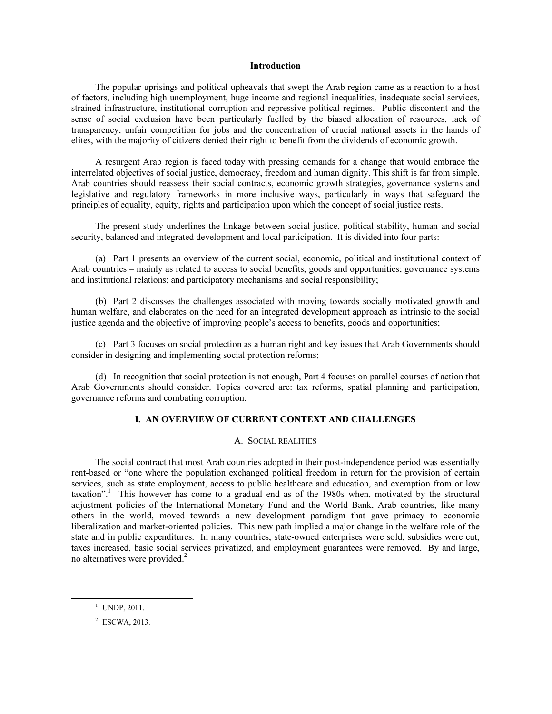#### Introduction

 The popular uprisings and political upheavals that swept the Arab region came as a reaction to a host of factors, including high unemployment, huge income and regional inequalities, inadequate social services, strained infrastructure, institutional corruption and repressive political regimes. Public discontent and the sense of social exclusion have been particularly fuelled by the biased allocation of resources, lack of transparency, unfair competition for jobs and the concentration of crucial national assets in the hands of elites, with the majority of citizens denied their right to benefit from the dividends of economic growth.

 A resurgent Arab region is faced today with pressing demands for a change that would embrace the interrelated objectives of social justice, democracy, freedom and human dignity. This shift is far from simple. Arab countries should reassess their social contracts, economic growth strategies, governance systems and legislative and regulatory frameworks in more inclusive ways, particularly in ways that safeguard the principles of equality, equity, rights and participation upon which the concept of social justice rests.

 The present study underlines the linkage between social justice, political stability, human and social security, balanced and integrated development and local participation. It is divided into four parts:

 (a) Part 1 presents an overview of the current social, economic, political and institutional context of Arab countries – mainly as related to access to social benefits, goods and opportunities; governance systems and institutional relations; and participatory mechanisms and social responsibility;

 (b) Part 2 discusses the challenges associated with moving towards socially motivated growth and human welfare, and elaborates on the need for an integrated development approach as intrinsic to the social justice agenda and the objective of improving people's access to benefits, goods and opportunities;

 (c) Part 3 focuses on social protection as a human right and key issues that Arab Governments should consider in designing and implementing social protection reforms;

 (d) In recognition that social protection is not enough, Part 4 focuses on parallel courses of action that Arab Governments should consider. Topics covered are: tax reforms, spatial planning and participation, governance reforms and combating corruption.

### I. AN OVERVIEW OF CURRENT CONTEXT AND CHALLENGES

### A. SOCIAL REALITIES

 The social contract that most Arab countries adopted in their post-independence period was essentially rent-based or "one where the population exchanged political freedom in return for the provision of certain services, such as state employment, access to public healthcare and education, and exemption from or low taxation".<sup>1</sup> This however has come to a gradual end as of the 1980s when, motivated by the structural adjustment policies of the International Monetary Fund and the World Bank, Arab countries, like many others in the world, moved towards a new development paradigm that gave primacy to economic liberalization and market-oriented policies. This new path implied a major change in the welfare role of the state and in public expenditures. In many countries, state-owned enterprises were sold, subsidies were cut, taxes increased, basic social services privatized, and employment guarantees were removed. By and large, no alternatives were provided.<sup>2</sup>

<sup>&</sup>lt;sup>1</sup> UNDP, 2011.

<sup>2</sup> ESCWA, 2013.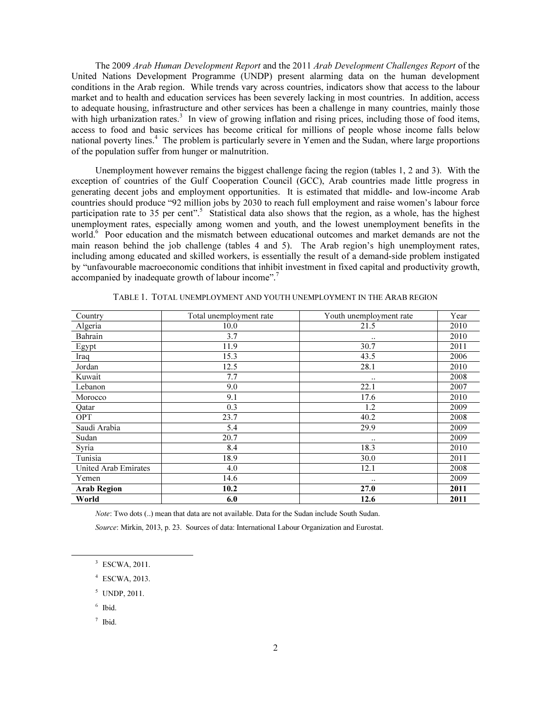The 2009 *Arab Human Development Report* and the 2011 *Arab Development Challenges Report* of the United Nations Development Programme (UNDP) present alarming data on the human development conditions in the Arab region. While trends vary across countries, indicators show that access to the labour market and to health and education services has been severely lacking in most countries. In addition, access to adequate housing, infrastructure and other services has been a challenge in many countries, mainly those with high urbanization rates.<sup>3</sup> In view of growing inflation and rising prices, including those of food items, access to food and basic services has become critical for millions of people whose income falls below national poverty lines.<sup>4</sup> The problem is particularly severe in Yemen and the Sudan, where large proportions of the population suffer from hunger or malnutrition.

 Unemployment however remains the biggest challenge facing the region (tables 1, 2 and 3). With the exception of countries of the Gulf Cooperation Council (GCC), Arab countries made little progress in generating decent jobs and employment opportunities. It is estimated that middle- and low-income Arab countries should produce "92 million jobs by 2030 to reach full employment and raise women's labour force participation rate to 35 per cent".<sup>5</sup> Statistical data also shows that the region, as a whole, has the highest unemployment rates, especially among women and youth, and the lowest unemployment benefits in the world.<sup>6</sup> Poor education and the mismatch between educational outcomes and market demands are not the main reason behind the job challenge (tables 4 and 5). The Arab region's high unemployment rates, including among educated and skilled workers, is essentially the result of a demand-side problem instigated by "unfavourable macroeconomic conditions that inhibit investment in fixed capital and productivity growth, accompanied by inadequate growth of labour income".<sup>7</sup>

| Country              | Total unemployment rate | Youth unemployment rate | Year |
|----------------------|-------------------------|-------------------------|------|
| Algeria              | 10.0                    | 21.5                    | 2010 |
| Bahrain              | 3.7                     | $\ddotsc$               | 2010 |
| Egypt                | 11.9                    | 30.7                    | 2011 |
| Iraq                 | 15.3                    | 43.5                    | 2006 |
| Jordan               | 12.5                    | 28.1                    | 2010 |
| Kuwait               | 7.7                     | $\ddotsc$               | 2008 |
| Lebanon              | 9.0                     | 22.1                    | 2007 |
| Morocco              | 9.1                     | 17.6                    | 2010 |
| Qatar                | 0.3                     | 1.2                     | 2009 |
| <b>OPT</b>           | 23.7                    | 40.2                    | 2008 |
| Saudi Arabia         | 5.4                     | 29.9                    | 2009 |
| Sudan                | 20.7                    | $\ddotsc$               | 2009 |
| Syria                | 8.4                     | 18.3                    | 2010 |
| Tunisia              | 18.9                    | 30.0                    | 2011 |
| United Arab Emirates | 4.0                     | 12.1                    | 2008 |
| Yemen                | 14.6                    |                         | 2009 |
| <b>Arab Region</b>   | 10.2                    | 27.0                    | 2011 |
| World                | 6.0                     | 12.6                    | 2011 |

TABLE 1. TOTAL UNEMPLOYMENT AND YOUTH UNEMPLOYMENT IN THE ARAB REGION

Note: Two dots (..) mean that data are not available. Data for the Sudan include South Sudan.

Source: Mirkin, 2013, p. 23. Sources of data: International Labour Organization and Eurostat.

<sup>3</sup> ESCWA, 2011.

- 4 ESCWA, 2013.
- 5 UNDP, 2011.

6 Ibid.

 $\overline{a}$ 

7 Ibid.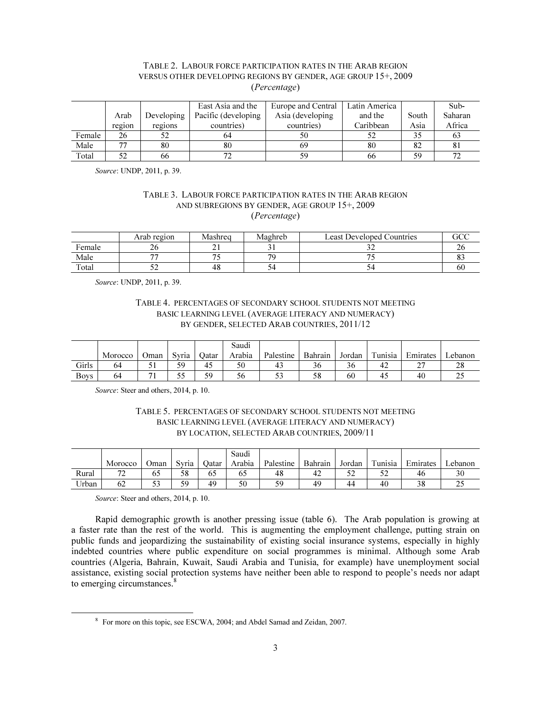# TABLE 2. LABOUR FORCE PARTICIPATION RATES IN THE ARAB REGION VERSUS OTHER DEVELOPING REGIONS BY GENDER, AGE GROUP 15+, 2009 (*Percentage*)

|        |        |            | East Asia and the    | Europe and Central | Latin America |       | Sub-          |
|--------|--------|------------|----------------------|--------------------|---------------|-------|---------------|
|        | Arab   | Developing | Pacific (developing) | Asia (developing)  | and the       | South | Saharan       |
|        | region | regions    | countries)           | countries)         | Caribbean     | Asia  | Africa        |
| Female | 26     |            | 64                   | 50                 |               | 35    | 03            |
| Male   |        | 80         | 80                   | 69                 | 80            | 82    | 81            |
| Total  | 52     | 66         |                      | 59                 | 66            | 59    | $\mathcal{L}$ |

Source: UNDP, 2011, p. 39.

### TABLE 3. LABOUR FORCE PARTICIPATION RATES IN THE ARAB REGION AND SUBREGIONS BY GENDER, AGE GROUP 15+, 2009 (*Percentage*)

|        | Arab region | Mashrea | Maghreb | <b>Least Developed Countries</b> | $\cap$ |
|--------|-------------|---------|---------|----------------------------------|--------|
| Female | ∠∪          |         | ◡       |                                  |        |
| Male   | --          | $ -$    | 70      |                                  | ບ      |
| Total  |             | 48      | ັ       |                                  | 60     |

Source: UNDP, 2011, p. 39.

## TABLE 4. PERCENTAGES OF SECONDARY SCHOOL STUDENTS NOT MEETING BASIC LEARNING LEVEL (AVERAGE LITERACY AND NUMERACY) BY GENDER, SELECTED ARAB COUNTRIES, 2011/12

|             |         |      |           |       | Saudi  |           |         |        |         |                    |                 |
|-------------|---------|------|-----------|-------|--------|-----------|---------|--------|---------|--------------------|-----------------|
|             | Morocco | Oman | Svria     | )atar | Arabıa | Palestine | Bahrain | Jordan | Tunisia | $\sim$<br>Emirates | ∟ebanon         |
| Girls       | 64      | ັ    | 59        | 45    | 50     | 43        | 30      | 50     | 44      | $\sim$<br>∼        | റ<br>$\angle 0$ |
| <b>Boys</b> | 64      |      | - -<br>ככ | 59    | 56     | ر ر       | 58      | 60     | 4.,     | 40                 | ت               |

Source: Steer and others, 2014, p. 10.

# TABLE 5. PERCENTAGES OF SECONDARY SCHOOL STUDENTS NOT MEETING BASIC LEARNING LEVEL (AVERAGE LITERACY AND NUMERACY) BY LOCATION, SELECTED ARAB COUNTRIES, 2009/11

|       |              |                      |       |       | Saudi  |           |         |            |         |          |         |
|-------|--------------|----------------------|-------|-------|--------|-----------|---------|------------|---------|----------|---------|
|       | Morocco      | Oman                 | Svria | Oatar | Arabia | Palestine | Bahrain | Jordan     | Tunisia | Emirates | ∟ebanon |
| Rural | $\mathbf{a}$ |                      | 58    | 65    | 63     | 48        | 42      | r n<br>ے ر | ے ر     | 46       |         |
| Urban | 62           | $\sim$ $\sim$<br>ر ر | 59    | 49    | 50     | 59        | 49      | 44         | 40      | 38       | سد      |

Source: Steer and others, 2014, p. 10.

-

 Rapid demographic growth is another pressing issue (table 6). The Arab population is growing at a faster rate than the rest of the world. This is augmenting the employment challenge, putting strain on public funds and jeopardizing the sustainability of existing social insurance systems, especially in highly indebted countries where public expenditure on social programmes is minimal. Although some Arab countries (Algeria, Bahrain, Kuwait, Saudi Arabia and Tunisia, for example) have unemployment social assistance, existing social protection systems have neither been able to respond to people's needs nor adapt to emerging circumstances.<sup>8</sup>

<sup>&</sup>lt;sup>8</sup> For more on this topic, see ESCWA, 2004; and Abdel Samad and Zeidan, 2007.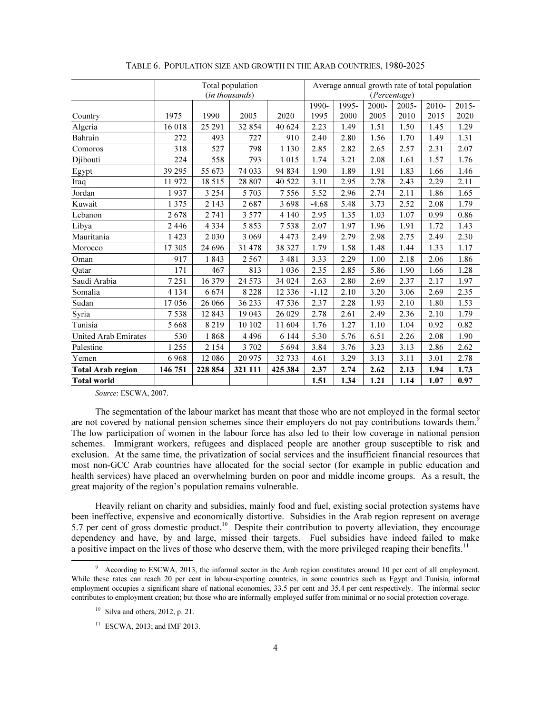|                          | Total population<br>(in thousands) |          |         |          | Average annual growth rate of total population<br>(Percentage) |       |       |       |          |          |
|--------------------------|------------------------------------|----------|---------|----------|----------------------------------------------------------------|-------|-------|-------|----------|----------|
|                          |                                    |          |         |          | 1990-                                                          | 1995- | 2000- | 2005- | $2010 -$ | $2015 -$ |
| Country                  | 1975                               | 1990     | 2005    | 2020     | 1995                                                           | 2000  | 2005  | 2010  | 2015     | 2020     |
| Algeria                  | 16 018                             | 25 29 1  | 32 854  | 40 624   | 2.23                                                           | 1.49  | 1.51  | 1.50  | 1.45     | 1.29     |
| Bahrain                  | 272                                | 493      | 727     | 910      | 2.40                                                           | 2.80  | 1.56  | 1.70  | 1.49     | 1.31     |
| Comoros                  | 318                                | 527      | 798     | 1 1 3 0  | 2.85                                                           | 2.82  | 2.65  | 2.57  | 2.31     | 2.07     |
| Djibouti                 | 224                                | 558      | 793     | 1015     | 1.74                                                           | 3.21  | 2.08  | 1.61  | 1.57     | 1.76     |
| Egypt                    | 39 29 5                            | 55 673   | 74 033  | 94 834   | 1.90                                                           | 1.89  | 1.91  | 1.83  | 1.66     | 1.46     |
| Iraq                     | 11972                              | 18 5 15  | 28 807  | 40 522   | 3.11                                                           | 2.95  | 2.78  | 2.43  | 2.29     | 2.11     |
| Jordan                   | 1937                               | 3 2 5 4  | 5 7 0 3 | 7556     | 5.52                                                           | 2.96  | 2.74  | 2.11  | 1.86     | 1.65     |
| Kuwait                   | 1 3 7 5                            | 2 1 4 3  | 2687    | 3698     | $-4.68$                                                        | 5.48  | 3.73  | 2.52  | 2.08     | 1.79     |
| Lebanon                  | 2678                               | 2741     | 3 5 7 7 | 4 1 4 0  | 2.95                                                           | 1.35  | 1.03  | 1.07  | 0.99     | 0.86     |
| Libya                    | 2446                               | 4334     | 5853    | 7538     | 2.07                                                           | 1.97  | 1.96  | 1.91  | 1.72     | 1.43     |
| Mauritania               | 1423                               | 2030     | 3 0 6 9 | 4 4 7 3  | 2.49                                                           | 2.79  | 2.98  | 2.75  | 2.49     | 2.30     |
| Morocco                  | 17 305                             | 24 6 9 6 | 31 478  | 38 327   | 1.79                                                           | 1.58  | 1.48  | 1.44  | 1.33     | 1.17     |
| Oman                     | 917                                | 1843     | 2567    | 3 4 8 1  | 3.33                                                           | 2.29  | 1.00  | 2.18  | 2.06     | 1.86     |
| Qatar                    | 171                                | 467      | 813     | 1036     | 2.35                                                           | 2.85  | 5.86  | 1.90  | 1.66     | 1.28     |
| Saudi Arabia             | 7251                               | 16 379   | 24 5 73 | 34 024   | 2.63                                                           | 2.80  | 2.69  | 2.37  | 2.17     | 1.97     |
| Somalia                  | 4 1 3 4                            | 6674     | 8 2 2 8 | 12 3 3 6 | $-1.12$                                                        | 2.10  | 3.20  | 3.06  | 2.69     | 2.35     |
| Sudan                    | 17056                              | 26 066   | 36 233  | 47 536   | 2.37                                                           | 2.28  | 1.93  | 2.10  | 1.80     | 1.53     |
| Syria                    | 7538                               | 12 843   | 19 043  | 26 029   | 2.78                                                           | 2.61  | 2.49  | 2.36  | 2.10     | 1.79     |
| Tunisia                  | 5668                               | 8219     | 10 10 2 | 11 604   | 1.76                                                           | 1.27  | 1.10  | 1.04  | 0.92     | 0.82     |
| United Arab Emirates     | 530                                | 1868     | 4496    | 6 1 4 4  | 5.30                                                           | 5.76  | 6.51  | 2.26  | 2.08     | 1.90     |
| Palestine                | 1255                               | 2 1 5 4  | 3 702   | 5 6 9 4  | 3.84                                                           | 3.76  | 3.23  | 3.13  | 2.86     | 2.62     |
| Yemen                    | 6968                               | 12 08 6  | 20 975  | 32 733   | 4.61                                                           | 3.29  | 3.13  | 3.11  | 3.01     | 2.78     |
| <b>Total Arab region</b> | 146 751                            | 228 854  | 321 111 | 425 384  | 2.37                                                           | 2.74  | 2.62  | 2.13  | 1.94     | 1.73     |
| <b>Total world</b>       |                                    |          |         |          | 1.51                                                           | 1.34  | 1.21  | 1.14  | 1.07     | 0.97     |

|  |  | TABLE 6. POPULATION SIZE AND GROWTH IN THE ARAB COUNTRIES, 1980-2025 |  |  |
|--|--|----------------------------------------------------------------------|--|--|
|--|--|----------------------------------------------------------------------|--|--|

Source: ESCWA, 2007.

 The segmentation of the labour market has meant that those who are not employed in the formal sector are not covered by national pension schemes since their employers do not pay contributions towards them.<sup>9</sup> The low participation of women in the labour force has also led to their low coverage in national pension schemes. Immigrant workers, refugees and displaced people are another group susceptible to risk and exclusion. At the same time, the privatization of social services and the insufficient financial resources that most non-GCC Arab countries have allocated for the social sector (for example in public education and health services) have placed an overwhelming burden on poor and middle income groups. As a result, the great majority of the region's population remains vulnerable.

 Heavily reliant on charity and subsidies, mainly food and fuel, existing social protection systems have been ineffective, expensive and economically distortive. Subsidies in the Arab region represent on average 5.7 per cent of gross domestic product.<sup>10</sup> Despite their contribution to poverty alleviation, they encourage dependency and have, by and large, missed their targets. Fuel subsidies have indeed failed to make a positive impact on the lives of those who deserve them, with the more privileged reaping their benefits.<sup>11</sup>

<sup>&</sup>lt;sup>9</sup> According to ESCWA, 2013, the informal sector in the Arab region constitutes around 10 per cent of all employment. While these rates can reach 20 per cent in labour-exporting countries, in some countries such as Egypt and Tunisia, informal employment occupies a significant share of national economies, 33.5 per cent and 35.4 per cent respectively. The informal sector contributes to employment creation; but those who are informally employed suffer from minimal or no social protection coverage.

 $10$  Silva and others, 2012, p. 21.

<sup>&</sup>lt;sup>11</sup> ESCWA, 2013; and IMF 2013.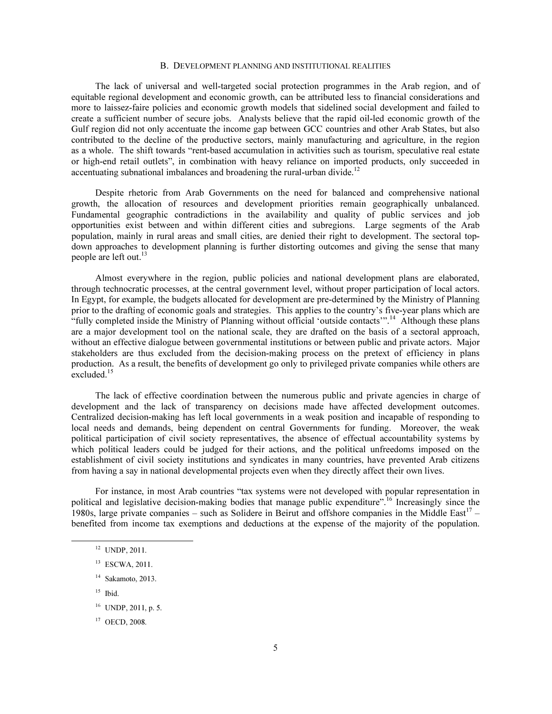#### B. DEVELOPMENT PLANNING AND INSTITUTIONAL REALITIES

 The lack of universal and well-targeted social protection programmes in the Arab region, and of equitable regional development and economic growth, can be attributed less to financial considerations and more to laissez-faire policies and economic growth models that sidelined social development and failed to create a sufficient number of secure jobs. Analysts believe that the rapid oil-led economic growth of the Gulf region did not only accentuate the income gap between GCC countries and other Arab States, but also contributed to the decline of the productive sectors, mainly manufacturing and agriculture, in the region as a whole. The shift towards "rent-based accumulation in activities such as tourism, speculative real estate or high-end retail outlets", in combination with heavy reliance on imported products, only succeeded in accentuating subnational imbalances and broadening the rural-urban divide.<sup>12</sup>

 Despite rhetoric from Arab Governments on the need for balanced and comprehensive national growth, the allocation of resources and development priorities remain geographically unbalanced. Fundamental geographic contradictions in the availability and quality of public services and job opportunities exist between and within different cities and subregions. Large segments of the Arab population, mainly in rural areas and small cities, are denied their right to development. The sectoral topdown approaches to development planning is further distorting outcomes and giving the sense that many people are left out. $^{13}$ 

 Almost everywhere in the region, public policies and national development plans are elaborated, through technocratic processes, at the central government level, without proper participation of local actors. In Egypt, for example, the budgets allocated for development are pre-determined by the Ministry of Planning prior to the drafting of economic goals and strategies. This applies to the country's five-year plans which are "fully completed inside the Ministry of Planning without official 'outside contacts'".<sup>14</sup> Although these plans are a major development tool on the national scale, they are drafted on the basis of a sectoral approach, without an effective dialogue between governmental institutions or between public and private actors. Major stakeholders are thus excluded from the decision-making process on the pretext of efficiency in plans production. As a result, the benefits of development go only to privileged private companies while others are excluded.<sup>15</sup>

 The lack of effective coordination between the numerous public and private agencies in charge of development and the lack of transparency on decisions made have affected development outcomes. Centralized decision-making has left local governments in a weak position and incapable of responding to local needs and demands, being dependent on central Governments for funding. Moreover, the weak political participation of civil society representatives, the absence of effectual accountability systems by which political leaders could be judged for their actions, and the political unfreedoms imposed on the establishment of civil society institutions and syndicates in many countries, have prevented Arab citizens from having a say in national developmental projects even when they directly affect their own lives.

 For instance, in most Arab countries "tax systems were not developed with popular representation in political and legislative decision-making bodies that manage public expenditure".<sup>16</sup> Increasingly since the 1980s, large private companies – such as Solidere in Beirut and offshore companies in the Middle East<sup>17</sup> – benefited from income tax exemptions and deductions at the expense of the majority of the population.

- <sup>13</sup> ESCWA, 2011.
- $14$  Sakamoto, 2013.
- $15$  Ibid.

 $\ddot{ }$ 

<sup>17</sup> OECD, 2008.

<sup>12</sup> UNDP, 2011.

<sup>16</sup> UNDP, 2011, p. 5.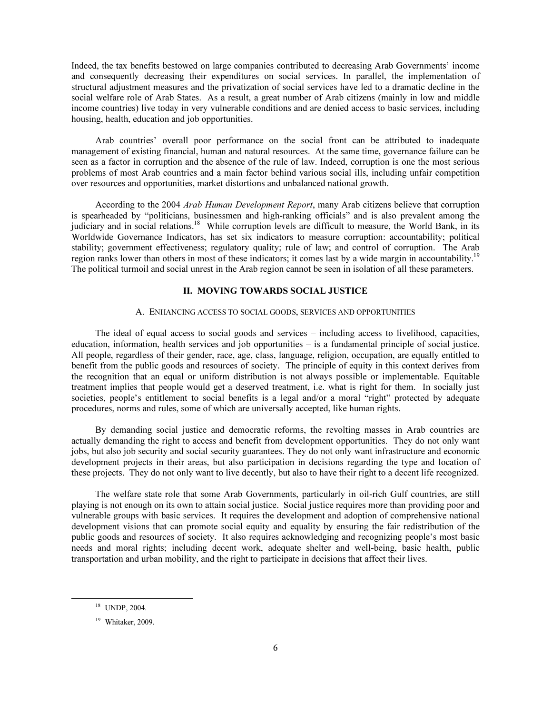Indeed, the tax benefits bestowed on large companies contributed to decreasing Arab Governments' income and consequently decreasing their expenditures on social services. In parallel, the implementation of structural adjustment measures and the privatization of social services have led to a dramatic decline in the social welfare role of Arab States. As a result, a great number of Arab citizens (mainly in low and middle income countries) live today in very vulnerable conditions and are denied access to basic services, including housing, health, education and job opportunities.

 Arab countries' overall poor performance on the social front can be attributed to inadequate management of existing financial, human and natural resources. At the same time, governance failure can be seen as a factor in corruption and the absence of the rule of law. Indeed, corruption is one the most serious problems of most Arab countries and a main factor behind various social ills, including unfair competition over resources and opportunities, market distortions and unbalanced national growth.

 According to the 2004 *Arab Human Development Report*, many Arab citizens believe that corruption is spearheaded by "politicians, businessmen and high-ranking officials" and is also prevalent among the judiciary and in social relations.<sup>18</sup> While corruption levels are difficult to measure, the World Bank, in its Worldwide Governance Indicators, has set six indicators to measure corruption: accountability; political stability; government effectiveness; regulatory quality; rule of law; and control of corruption. The Arab region ranks lower than others in most of these indicators; it comes last by a wide margin in accountability.<sup>19</sup> The political turmoil and social unrest in the Arab region cannot be seen in isolation of all these parameters.

### II. MOVING TOWARDS SOCIAL JUSTICE

### A. ENHANCING ACCESS TO SOCIAL GOODS, SERVICES AND OPPORTUNITIES

 The ideal of equal access to social goods and services – including access to livelihood, capacities, education, information, health services and job opportunities – is a fundamental principle of social justice. All people, regardless of their gender, race, age, class, language, religion, occupation, are equally entitled to benefit from the public goods and resources of society. The principle of equity in this context derives from the recognition that an equal or uniform distribution is not always possible or implementable. Equitable treatment implies that people would get a deserved treatment, i.e. what is right for them. In socially just societies, people's entitlement to social benefits is a legal and/or a moral "right" protected by adequate procedures, norms and rules, some of which are universally accepted, like human rights.

 By demanding social justice and democratic reforms, the revolting masses in Arab countries are actually demanding the right to access and benefit from development opportunities. They do not only want jobs, but also job security and social security guarantees. They do not only want infrastructure and economic development projects in their areas, but also participation in decisions regarding the type and location of these projects. They do not only want to live decently, but also to have their right to a decent life recognized.

 The welfare state role that some Arab Governments, particularly in oil-rich Gulf countries, are still playing is not enough on its own to attain social justice. Social justice requires more than providing poor and vulnerable groups with basic services. It requires the development and adoption of comprehensive national development visions that can promote social equity and equality by ensuring the fair redistribution of the public goods and resources of society. It also requires acknowledging and recognizing people's most basic needs and moral rights; including decent work, adequate shelter and well-being, basic health, public transportation and urban mobility, and the right to participate in decisions that affect their lives.

<sup>18</sup> UNDP, 2004.

<sup>&</sup>lt;sup>19</sup> Whitaker, 2009.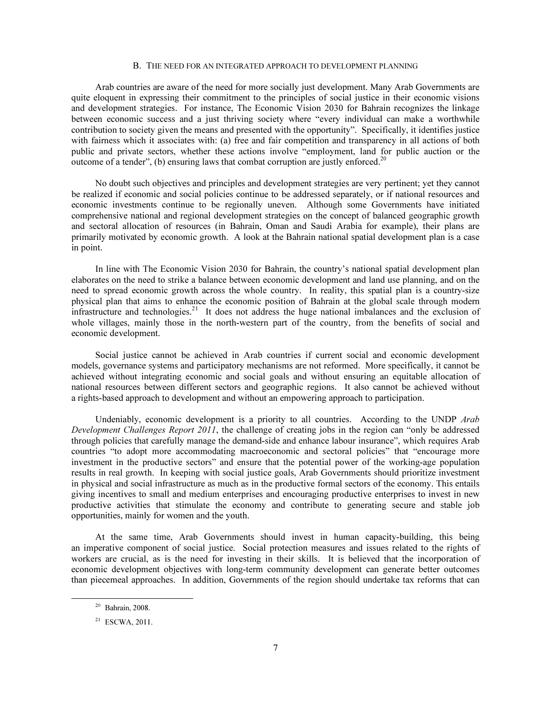#### B. THE NEED FOR AN INTEGRATED APPROACH TO DEVELOPMENT PLANNING

 Arab countries are aware of the need for more socially just development. Many Arab Governments are quite eloquent in expressing their commitment to the principles of social justice in their economic visions and development strategies. For instance, The Economic Vision 2030 for Bahrain recognizes the linkage between economic success and a just thriving society where "every individual can make a worthwhile contribution to society given the means and presented with the opportunity". Specifically, it identifies justice with fairness which it associates with: (a) free and fair competition and transparency in all actions of both public and private sectors, whether these actions involve "employment, land for public auction or the outcome of a tender", (b) ensuring laws that combat corruption are justly enforced.<sup>20</sup>

 No doubt such objectives and principles and development strategies are very pertinent; yet they cannot be realized if economic and social policies continue to be addressed separately, or if national resources and economic investments continue to be regionally uneven. Although some Governments have initiated comprehensive national and regional development strategies on the concept of balanced geographic growth and sectoral allocation of resources (in Bahrain, Oman and Saudi Arabia for example), their plans are primarily motivated by economic growth. A look at the Bahrain national spatial development plan is a case in point.

 In line with The Economic Vision 2030 for Bahrain, the country's national spatial development plan elaborates on the need to strike a balance between economic development and land use planning, and on the need to spread economic growth across the whole country. In reality, this spatial plan is a country-size physical plan that aims to enhance the economic position of Bahrain at the global scale through modern infrastructure and technologies.<sup>21</sup> It does not address the huge national imbalances and the exclusion of whole villages, mainly those in the north-western part of the country, from the benefits of social and economic development.

 Social justice cannot be achieved in Arab countries if current social and economic development models, governance systems and participatory mechanisms are not reformed. More specifically, it cannot be achieved without integrating economic and social goals and without ensuring an equitable allocation of national resources between different sectors and geographic regions. It also cannot be achieved without a rights-based approach to development and without an empowering approach to participation.

 Undeniably, economic development is a priority to all countries. According to the UNDP *Arab Development Challenges Report 2011*, the challenge of creating jobs in the region can "only be addressed through policies that carefully manage the demand-side and enhance labour insurance", which requires Arab countries "to adopt more accommodating macroeconomic and sectoral policies" that "encourage more investment in the productive sectors" and ensure that the potential power of the working-age population results in real growth. In keeping with social justice goals, Arab Governments should prioritize investment in physical and social infrastructure as much as in the productive formal sectors of the economy. This entails giving incentives to small and medium enterprises and encouraging productive enterprises to invest in new productive activities that stimulate the economy and contribute to generating secure and stable job opportunities, mainly for women and the youth.

 At the same time, Arab Governments should invest in human capacity-building, this being an imperative component of social justice. Social protection measures and issues related to the rights of workers are crucial, as is the need for investing in their skills. It is believed that the incorporation of economic development objectives with long-term community development can generate better outcomes than piecemeal approaches. In addition, Governments of the region should undertake tax reforms that can

 $20$  Bahrain, 2008.

 $21$  ESCWA, 2011.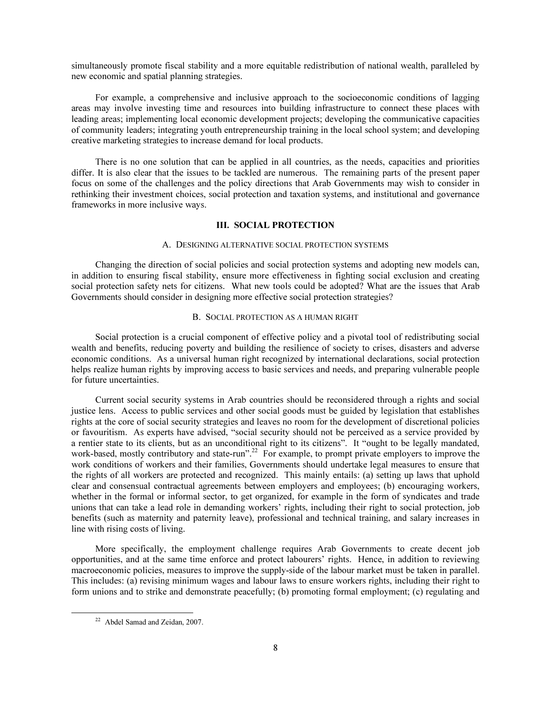simultaneously promote fiscal stability and a more equitable redistribution of national wealth, paralleled by new economic and spatial planning strategies.

 For example, a comprehensive and inclusive approach to the socioeconomic conditions of lagging areas may involve investing time and resources into building infrastructure to connect these places with leading areas; implementing local economic development projects; developing the communicative capacities of community leaders; integrating youth entrepreneurship training in the local school system; and developing creative marketing strategies to increase demand for local products.

 There is no one solution that can be applied in all countries, as the needs, capacities and priorities differ. It is also clear that the issues to be tackled are numerous. The remaining parts of the present paper focus on some of the challenges and the policy directions that Arab Governments may wish to consider in rethinking their investment choices, social protection and taxation systems, and institutional and governance frameworks in more inclusive ways.

### III. SOCIAL PROTECTION

#### A. DESIGNING ALTERNATIVE SOCIAL PROTECTION SYSTEMS

 Changing the direction of social policies and social protection systems and adopting new models can, in addition to ensuring fiscal stability, ensure more effectiveness in fighting social exclusion and creating social protection safety nets for citizens. What new tools could be adopted? What are the issues that Arab Governments should consider in designing more effective social protection strategies?

### B. SOCIAL PROTECTION AS A HUMAN RIGHT

 Social protection is a crucial component of effective policy and a pivotal tool of redistributing social wealth and benefits, reducing poverty and building the resilience of society to crises, disasters and adverse economic conditions. As a universal human right recognized by international declarations, social protection helps realize human rights by improving access to basic services and needs, and preparing vulnerable people for future uncertainties.

 Current social security systems in Arab countries should be reconsidered through a rights and social justice lens. Access to public services and other social goods must be guided by legislation that establishes rights at the core of social security strategies and leaves no room for the development of discretional policies or favouritism. As experts have advised, "social security should not be perceived as a service provided by a rentier state to its clients, but as an unconditional right to its citizens". It "ought to be legally mandated, work-based, mostly contributory and state-run".<sup>22</sup> For example, to prompt private employers to improve the work conditions of workers and their families, Governments should undertake legal measures to ensure that the rights of all workers are protected and recognized. This mainly entails: (a) setting up laws that uphold clear and consensual contractual agreements between employers and employees; (b) encouraging workers, whether in the formal or informal sector, to get organized, for example in the form of syndicates and trade unions that can take a lead role in demanding workers' rights, including their right to social protection, job benefits (such as maternity and paternity leave), professional and technical training, and salary increases in line with rising costs of living.

 More specifically, the employment challenge requires Arab Governments to create decent job opportunities, and at the same time enforce and protect labourers' rights. Hence, in addition to reviewing macroeconomic policies, measures to improve the supply-side of the labour market must be taken in parallel. This includes: (a) revising minimum wages and labour laws to ensure workers rights, including their right to form unions and to strike and demonstrate peacefully; (b) promoting formal employment; (c) regulating and

-

<sup>22</sup> Abdel Samad and Zeidan, 2007.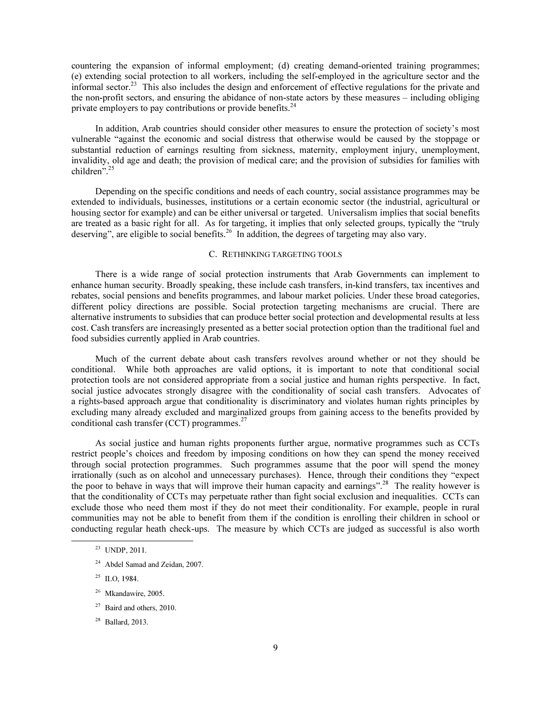countering the expansion of informal employment; (d) creating demand-oriented training programmes; (e) extending social protection to all workers, including the self-employed in the agriculture sector and the informal sector.<sup>23</sup> This also includes the design and enforcement of effective regulations for the private and the non-profit sectors, and ensuring the abidance of non-state actors by these measures – including obliging private employers to pay contributions or provide benefits.<sup>24</sup>

 In addition, Arab countries should consider other measures to ensure the protection of society's most vulnerable "against the economic and social distress that otherwise would be caused by the stoppage or substantial reduction of earnings resulting from sickness, maternity, employment injury, unemployment, invalidity, old age and death; the provision of medical care; and the provision of subsidies for families with children".<sup>25</sup>

 Depending on the specific conditions and needs of each country, social assistance programmes may be extended to individuals, businesses, institutions or a certain economic sector (the industrial, agricultural or housing sector for example) and can be either universal or targeted. Universalism implies that social benefits are treated as a basic right for all. As for targeting, it implies that only selected groups, typically the "truly deserving", are eligible to social benefits.<sup>26</sup> In addition, the degrees of targeting may also vary.

### C. RETHINKING TARGETING TOOLS

 There is a wide range of social protection instruments that Arab Governments can implement to enhance human security. Broadly speaking, these include cash transfers, in-kind transfers, tax incentives and rebates, social pensions and benefits programmes, and labour market policies. Under these broad categories, different policy directions are possible. Social protection targeting mechanisms are crucial. There are alternative instruments to subsidies that can produce better social protection and developmental results at less cost. Cash transfers are increasingly presented as a better social protection option than the traditional fuel and food subsidies currently applied in Arab countries.

 Much of the current debate about cash transfers revolves around whether or not they should be conditional. While both approaches are valid options, it is important to note that conditional social protection tools are not considered appropriate from a social justice and human rights perspective. In fact, social justice advocates strongly disagree with the conditionality of social cash transfers. Advocates of a rights-based approach argue that conditionality is discriminatory and violates human rights principles by excluding many already excluded and marginalized groups from gaining access to the benefits provided by conditional cash transfer (CCT) programmes. $27$ 

 As social justice and human rights proponents further argue, normative programmes such as CCTs restrict people's choices and freedom by imposing conditions on how they can spend the money received through social protection programmes. Such programmes assume that the poor will spend the money irrationally (such as on alcohol and unnecessary purchases). Hence, through their conditions they "expect the poor to behave in ways that will improve their human capacity and earnings".<sup>28</sup> The reality however is that the conditionality of CCTs may perpetuate rather than fight social exclusion and inequalities. CCTs can exclude those who need them most if they do not meet their conditionality. For example, people in rural communities may not be able to benefit from them if the condition is enrolling their children in school or conducting regular heath check-ups. The measure by which CCTs are judged as successful is also worth

- <sup>24</sup> Abdel Samad and Zeidan, 2007.
- $25$  ILO, 1984.
- $26$  Mkandawire, 2005.
- $27$  Baird and others, 2010.
- $28$  Ballard, 2013.

<sup>23</sup> UNDP, 2011.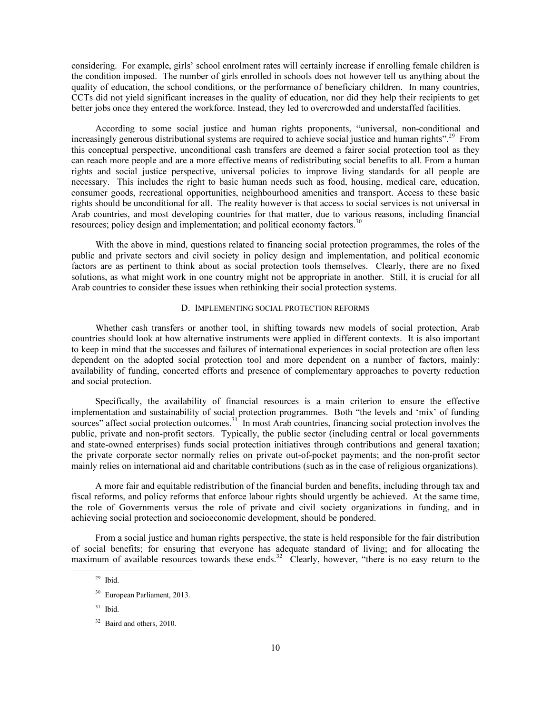considering. For example, girls' school enrolment rates will certainly increase if enrolling female children is the condition imposed. The number of girls enrolled in schools does not however tell us anything about the quality of education, the school conditions, or the performance of beneficiary children. In many countries, CCTs did not yield significant increases in the quality of education, nor did they help their recipients to get better jobs once they entered the workforce. Instead, they led to overcrowded and understaffed facilities.

 According to some social justice and human rights proponents, "universal, non-conditional and increasingly generous distributional systems are required to achieve social justice and human rights".<sup>29</sup> From this conceptual perspective, unconditional cash transfers are deemed a fairer social protection tool as they can reach more people and are a more effective means of redistributing social benefits to all. From a human rights and social justice perspective, universal policies to improve living standards for all people are necessary. This includes the right to basic human needs such as food, housing, medical care, education, consumer goods, recreational opportunities, neighbourhood amenities and transport. Access to these basic rights should be unconditional for all. The reality however is that access to social services is not universal in Arab countries, and most developing countries for that matter, due to various reasons, including financial resources; policy design and implementation; and political economy factors.<sup>30</sup>

 With the above in mind, questions related to financing social protection programmes, the roles of the public and private sectors and civil society in policy design and implementation, and political economic factors are as pertinent to think about as social protection tools themselves. Clearly, there are no fixed solutions, as what might work in one country might not be appropriate in another. Still, it is crucial for all Arab countries to consider these issues when rethinking their social protection systems.

#### D. IMPLEMENTING SOCIAL PROTECTION REFORMS

 Whether cash transfers or another tool, in shifting towards new models of social protection, Arab countries should look at how alternative instruments were applied in different contexts. It is also important to keep in mind that the successes and failures of international experiences in social protection are often less dependent on the adopted social protection tool and more dependent on a number of factors, mainly: availability of funding, concerted efforts and presence of complementary approaches to poverty reduction and social protection.

 Specifically, the availability of financial resources is a main criterion to ensure the effective implementation and sustainability of social protection programmes. Both "the levels and 'mix' of funding sources" affect social protection outcomes.<sup>31</sup> In most Arab countries, financing social protection involves the public, private and non-profit sectors. Typically, the public sector (including central or local governments and state-owned enterprises) funds social protection initiatives through contributions and general taxation; the private corporate sector normally relies on private out-of-pocket payments; and the non-profit sector mainly relies on international aid and charitable contributions (such as in the case of religious organizations).

 A more fair and equitable redistribution of the financial burden and benefits, including through tax and fiscal reforms, and policy reforms that enforce labour rights should urgently be achieved. At the same time, the role of Governments versus the role of private and civil society organizations in funding, and in achieving social protection and socioeconomic development, should be pondered.

 From a social justice and human rights perspective, the state is held responsible for the fair distribution of social benefits; for ensuring that everyone has adequate standard of living; and for allocating the maximum of available resources towards these ends.<sup>32</sup> Clearly, however, "there is no easy return to the

<sup>29</sup> Ibid.

<sup>30</sup> European Parliament, 2013.

 $31$  Ibid.

<sup>32</sup> Baird and others, 2010.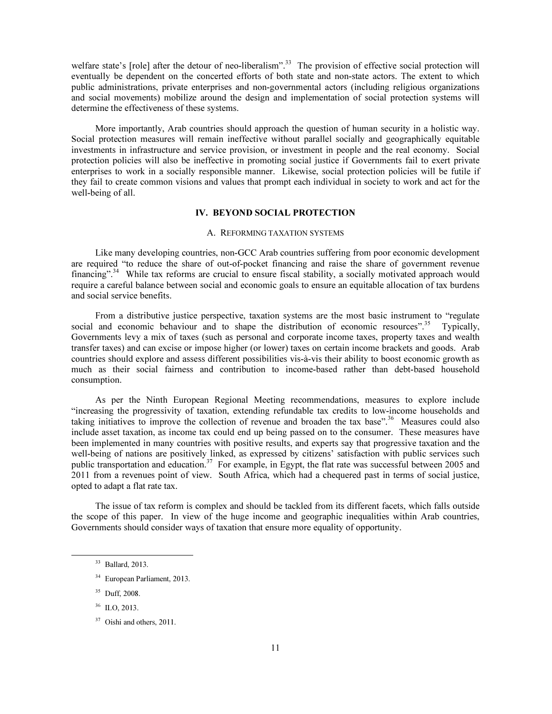welfare state's [role] after the detour of neo-liberalism".<sup>33</sup> The provision of effective social protection will eventually be dependent on the concerted efforts of both state and non-state actors. The extent to which public administrations, private enterprises and non-governmental actors (including religious organizations and social movements) mobilize around the design and implementation of social protection systems will determine the effectiveness of these systems.

 More importantly, Arab countries should approach the question of human security in a holistic way. Social protection measures will remain ineffective without parallel socially and geographically equitable investments in infrastructure and service provision, or investment in people and the real economy. Social protection policies will also be ineffective in promoting social justice if Governments fail to exert private enterprises to work in a socially responsible manner. Likewise, social protection policies will be futile if they fail to create common visions and values that prompt each individual in society to work and act for the well-being of all.

## IV. BEYOND SOCIAL PROTECTION

#### A. REFORMING TAXATION SYSTEMS

 Like many developing countries, non-GCC Arab countries suffering from poor economic development are required "to reduce the share of out-of-pocket financing and raise the share of government revenue financing".<sup>34</sup> While tax reforms are crucial to ensure fiscal stability, a socially motivated approach would require a careful balance between social and economic goals to ensure an equitable allocation of tax burdens and social service benefits.

 From a distributive justice perspective, taxation systems are the most basic instrument to "regulate social and economic behaviour and to shape the distribution of economic resources".<sup>35</sup> Typically, Governments levy a mix of taxes (such as personal and corporate income taxes, property taxes and wealth transfer taxes) and can excise or impose higher (or lower) taxes on certain income brackets and goods. Arab countries should explore and assess different possibilities vis-à-vis their ability to boost economic growth as much as their social fairness and contribution to income-based rather than debt-based household consumption.

 As per the Ninth European Regional Meeting recommendations, measures to explore include "increasing the progressivity of taxation, extending refundable tax credits to low-income households and taking initiatives to improve the collection of revenue and broaden the tax base".<sup>36</sup> Measures could also include asset taxation, as income tax could end up being passed on to the consumer. These measures have been implemented in many countries with positive results, and experts say that progressive taxation and the well-being of nations are positively linked, as expressed by citizens' satisfaction with public services such public transportation and education.<sup>37</sup> For example, in Egypt, the flat rate was successful between 2005 and 2011 from a revenues point of view. South Africa, which had a chequered past in terms of social justice, opted to adapt a flat rate tax.

 The issue of tax reform is complex and should be tackled from its different facets, which falls outside the scope of this paper. In view of the huge income and geographic inequalities within Arab countries, Governments should consider ways of taxation that ensure more equality of opportunity.

 $\overline{a}$ 

<sup>33</sup> Ballard, 2013.

<sup>34</sup> European Parliament, 2013.

<sup>35</sup> Duff, 2008.

<sup>&</sup>lt;sup>36</sup> ILO, 2013.

 $37$  Oishi and others, 2011.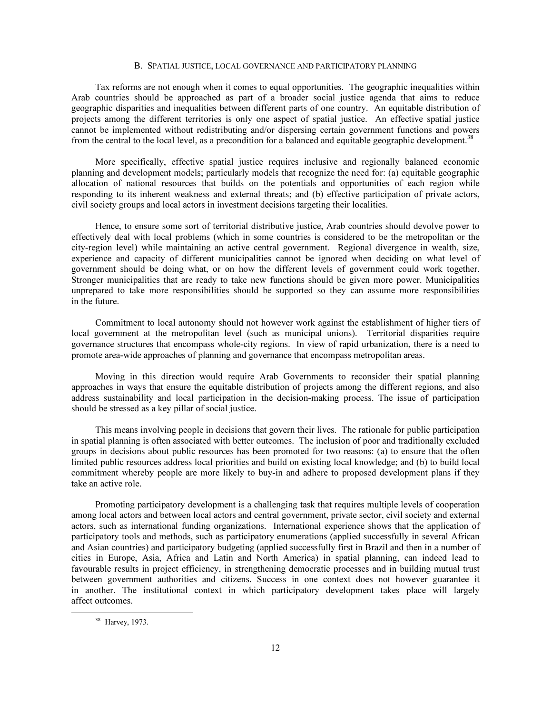#### B. SPATIAL JUSTICE, LOCAL GOVERNANCE AND PARTICIPATORY PLANNING

 Tax reforms are not enough when it comes to equal opportunities. The geographic inequalities within Arab countries should be approached as part of a broader social justice agenda that aims to reduce geographic disparities and inequalities between different parts of one country. An equitable distribution of projects among the different territories is only one aspect of spatial justice. An effective spatial justice cannot be implemented without redistributing and/or dispersing certain government functions and powers from the central to the local level, as a precondition for a balanced and equitable geographic development.<sup>38</sup>

 More specifically, effective spatial justice requires inclusive and regionally balanced economic planning and development models; particularly models that recognize the need for: (a) equitable geographic allocation of national resources that builds on the potentials and opportunities of each region while responding to its inherent weakness and external threats; and (b) effective participation of private actors, civil society groups and local actors in investment decisions targeting their localities.

 Hence, to ensure some sort of territorial distributive justice, Arab countries should devolve power to effectively deal with local problems (which in some countries is considered to be the metropolitan or the city-region level) while maintaining an active central government. Regional divergence in wealth, size, experience and capacity of different municipalities cannot be ignored when deciding on what level of government should be doing what, or on how the different levels of government could work together. Stronger municipalities that are ready to take new functions should be given more power. Municipalities unprepared to take more responsibilities should be supported so they can assume more responsibilities in the future.

 Commitment to local autonomy should not however work against the establishment of higher tiers of local government at the metropolitan level (such as municipal unions). Territorial disparities require governance structures that encompass whole-city regions. In view of rapid urbanization, there is a need to promote area-wide approaches of planning and governance that encompass metropolitan areas.

 Moving in this direction would require Arab Governments to reconsider their spatial planning approaches in ways that ensure the equitable distribution of projects among the different regions, and also address sustainability and local participation in the decision-making process. The issue of participation should be stressed as a key pillar of social justice.

 This means involving people in decisions that govern their lives. The rationale for public participation in spatial planning is often associated with better outcomes. The inclusion of poor and traditionally excluded groups in decisions about public resources has been promoted for two reasons: (a) to ensure that the often limited public resources address local priorities and build on existing local knowledge; and (b) to build local commitment whereby people are more likely to buy-in and adhere to proposed development plans if they take an active role.

 Promoting participatory development is a challenging task that requires multiple levels of cooperation among local actors and between local actors and central government, private sector, civil society and external actors, such as international funding organizations. International experience shows that the application of participatory tools and methods, such as participatory enumerations (applied successfully in several African and Asian countries) and participatory budgeting (applied successfully first in Brazil and then in a number of cities in Europe, Asia, Africa and Latin and North America) in spatial planning, can indeed lead to favourable results in project efficiency, in strengthening democratic processes and in building mutual trust between government authorities and citizens. Success in one context does not however guarantee it in another. The institutional context in which participatory development takes place will largely affect outcomes.

-

<sup>38</sup> Harvey, 1973.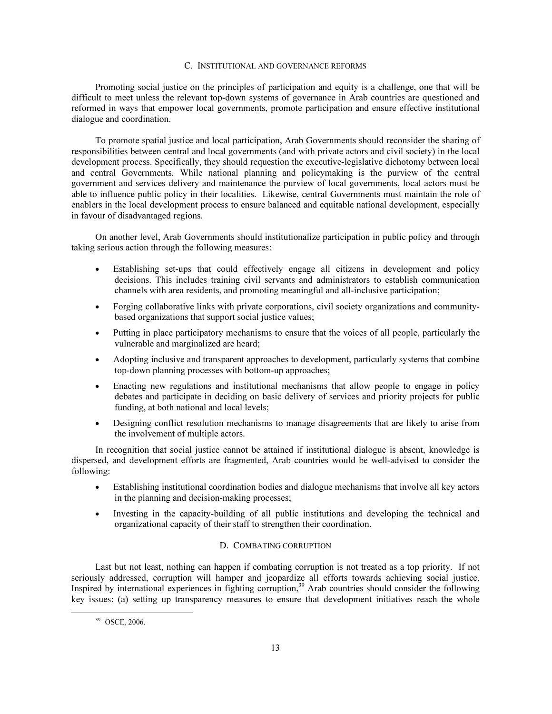## C. INSTITUTIONAL AND GOVERNANCE REFORMS

 Promoting social justice on the principles of participation and equity is a challenge, one that will be difficult to meet unless the relevant top-down systems of governance in Arab countries are questioned and reformed in ways that empower local governments, promote participation and ensure effective institutional dialogue and coordination.

 To promote spatial justice and local participation, Arab Governments should reconsider the sharing of responsibilities between central and local governments (and with private actors and civil society) in the local development process. Specifically, they should requestion the executive-legislative dichotomy between local and central Governments. While national planning and policymaking is the purview of the central government and services delivery and maintenance the purview of local governments, local actors must be able to influence public policy in their localities. Likewise, central Governments must maintain the role of enablers in the local development process to ensure balanced and equitable national development, especially in favour of disadvantaged regions.

 On another level, Arab Governments should institutionalize participation in public policy and through taking serious action through the following measures:

- Establishing set-ups that could effectively engage all citizens in development and policy decisions. This includes training civil servants and administrators to establish communication channels with area residents, and promoting meaningful and all-inclusive participation;
- Forging collaborative links with private corporations, civil society organizations and communitybased organizations that support social justice values;
- Putting in place participatory mechanisms to ensure that the voices of all people, particularly the vulnerable and marginalized are heard;
- Adopting inclusive and transparent approaches to development, particularly systems that combine top-down planning processes with bottom-up approaches;
- Enacting new regulations and institutional mechanisms that allow people to engage in policy debates and participate in deciding on basic delivery of services and priority projects for public funding, at both national and local levels;
- Designing conflict resolution mechanisms to manage disagreements that are likely to arise from the involvement of multiple actors.

 In recognition that social justice cannot be attained if institutional dialogue is absent, knowledge is dispersed, and development efforts are fragmented, Arab countries would be well-advised to consider the following:

- Establishing institutional coordination bodies and dialogue mechanisms that involve all key actors in the planning and decision-making processes;
- Investing in the capacity-building of all public institutions and developing the technical and organizational capacity of their staff to strengthen their coordination.

## D. COMBATING CORRUPTION

 Last but not least, nothing can happen if combating corruption is not treated as a top priority. If not seriously addressed, corruption will hamper and jeopardize all efforts towards achieving social justice. Inspired by international experiences in fighting corruption,<sup>39</sup> Arab countries should consider the following key issues: (a) setting up transparency measures to ensure that development initiatives reach the whole

-

<sup>39</sup> OSCE, 2006.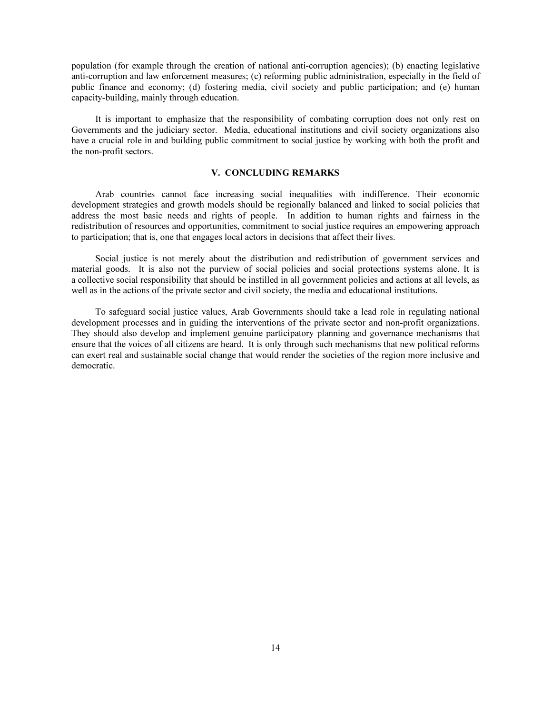population (for example through the creation of national anti-corruption agencies); (b) enacting legislative anti-corruption and law enforcement measures; (c) reforming public administration, especially in the field of public finance and economy; (d) fostering media, civil society and public participation; and (e) human capacity-building, mainly through education.

 It is important to emphasize that the responsibility of combating corruption does not only rest on Governments and the judiciary sector. Media, educational institutions and civil society organizations also have a crucial role in and building public commitment to social justice by working with both the profit and the non-profit sectors.

#### V. CONCLUDING REMARKS

 Arab countries cannot face increasing social inequalities with indifference. Their economic development strategies and growth models should be regionally balanced and linked to social policies that address the most basic needs and rights of people. In addition to human rights and fairness in the redistribution of resources and opportunities, commitment to social justice requires an empowering approach to participation; that is, one that engages local actors in decisions that affect their lives.

 Social justice is not merely about the distribution and redistribution of government services and material goods. It is also not the purview of social policies and social protections systems alone. It is a collective social responsibility that should be instilled in all government policies and actions at all levels, as well as in the actions of the private sector and civil society, the media and educational institutions.

 To safeguard social justice values, Arab Governments should take a lead role in regulating national development processes and in guiding the interventions of the private sector and non-profit organizations. They should also develop and implement genuine participatory planning and governance mechanisms that ensure that the voices of all citizens are heard. It is only through such mechanisms that new political reforms can exert real and sustainable social change that would render the societies of the region more inclusive and democratic.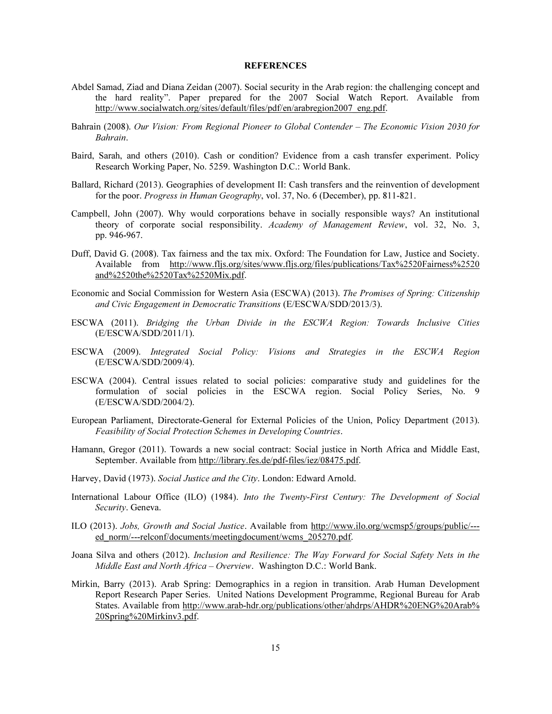#### REFERENCES

- Abdel Samad, Ziad and Diana Zeidan (2007). Social security in the Arab region: the challenging concept and the hard reality". Paper prepared for the 2007 Social Watch Report. Available from http://www.socialwatch.org/sites/default/files/pdf/en/arabregion2007\_eng.pdf.
- Bahrain (2008). *Our Vision: From Regional Pioneer to Global Contender The Economic Vision 2030 for Bahrain*.
- Baird, Sarah, and others (2010). Cash or condition? Evidence from a cash transfer experiment. Policy Research Working Paper, No. 5259. Washington D.C.: World Bank.
- Ballard, Richard (2013). Geographies of development II: Cash transfers and the reinvention of development for the poor. *Progress in Human Geography*, vol. 37, No. 6 (December), pp. 811-821.
- Campbell, John (2007). Why would corporations behave in socially responsible ways? An institutional theory of corporate social responsibility. *Academy of Management Review*, vol. 32, No. 3, pp. 946-967.
- Duff, David G. (2008). Tax fairness and the tax mix. Oxford: The Foundation for Law, Justice and Society. Available from http://www.fljs.org/sites/www.fljs.org/files/publications/Tax%2520Fairness%2520 and%2520the%2520Tax%2520Mix.pdf.
- Economic and Social Commission for Western Asia (ESCWA) (2013). *The Promises of Spring: Citizenship and Civic Engagement in Democratic Transitions* (E/ESCWA/SDD/2013/3).
- ESCWA (2011). *Bridging the Urban Divide in the ESCWA Region: Towards Inclusive Cities* (E/ESCWA/SDD/2011/1).
- ESCWA (2009). *Integrated Social Policy: Visions and Strategies in the ESCWA Region* (E/ESCWA/SDD/2009/4).
- ESCWA (2004). Central issues related to social policies: comparative study and guidelines for the formulation of social policies in the ESCWA region. Social Policy Series, No. 9 (E/ESCWA/SDD/2004/2).
- European Parliament, Directorate-General for External Policies of the Union, Policy Department (2013). *Feasibility of Social Protection Schemes in Developing Countries*.
- Hamann, Gregor (2011). Towards a new social contract: Social justice in North Africa and Middle East, September. Available from http://library.fes.de/pdf-files/iez/08475.pdf.
- Harvey, David (1973). *Social Justice and the City*. London: Edward Arnold.
- International Labour Office (ILO) (1984). *Into the Twenty-First Century: The Development of Social Security*. Geneva.
- ILO (2013). *Jobs, Growth and Social Justice*. Available from http://www.ilo.org/wcmsp5/groups/public/-- ed\_norm/---relconf/documents/meetingdocument/wcms\_205270.pdf.
- Joana Silva and others (2012). *Inclusion and Resilience: The Way Forward for Social Safety Nets in the Middle East and North Africa – Overview*. Washington D.C.: World Bank.
- Mirkin, Barry (2013). Arab Spring: Demographics in a region in transition. Arab Human Development Report Research Paper Series. United Nations Development Programme, Regional Bureau for Arab States. Available from http://www.arab-hdr.org/publications/other/ahdrps/AHDR%20ENG%20Arab% 20Spring%20Mirkinv3.pdf.